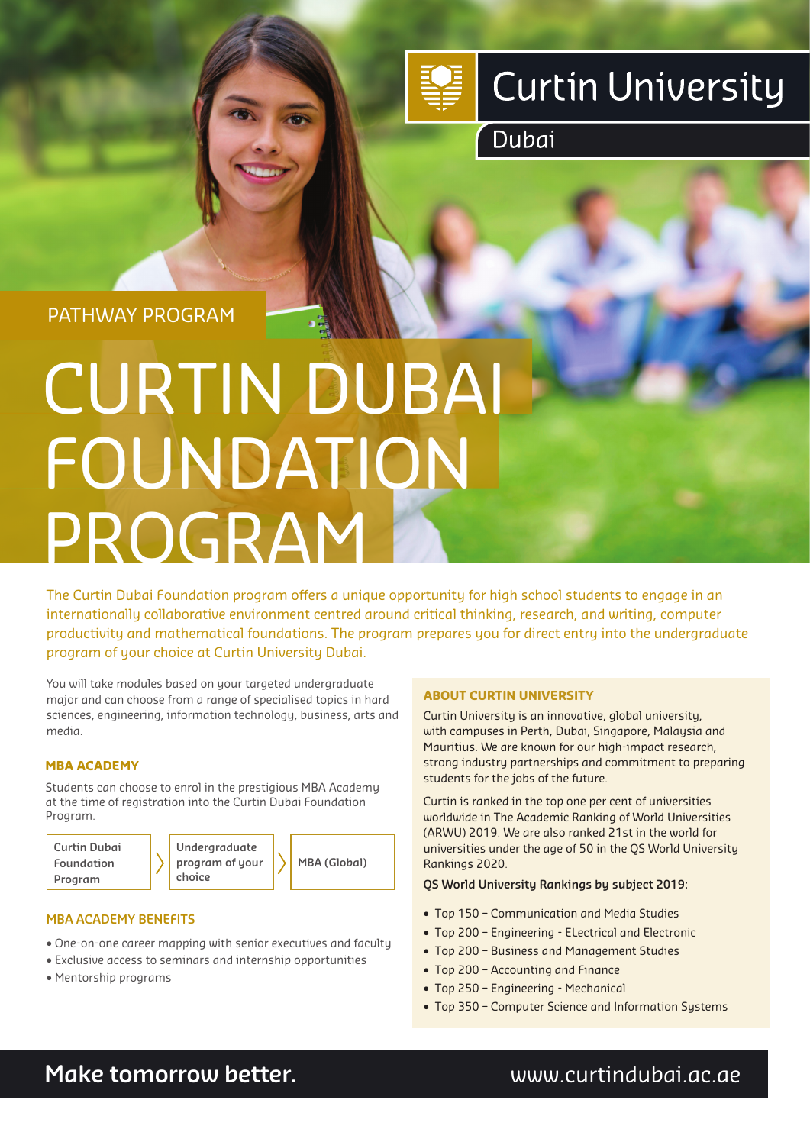

## **Curtin University**

Dubai

PATHWAY PROGRAM

# CURTIN DUBAI FOUNDATION PROGRAM

The Curtin Dubai Foundation program offers a unique opportunity for high school students to engage in an internationally collaborative environment centred around critical thinking, research, and writing, computer productivity and mathematical foundations. The program prepares you for direct entry into the undergraduate program of your choice at Curtin University Dubai.

You will take modules based on your targeted undergraduate major and can choose from a range of specialised topics in hard sciences, engineering, information technology, business, arts and media.

#### **MBA ACADEMY**

Students can choose to enrol in the prestigious MBA Academy at the time of registration into the Curtin Dubai Foundation Program.

**Curtin Dubai Foundation Program**

**Undergraduate program of your choice**

**MBA (Global)**

#### **MBA ACADEMY BENEFITS**

- One-on-one career mapping with senior executives and faculty
- Exclusive access to seminars and internship opportunities
- Mentorship programs

#### **ABOUT CURTIN UNIVERSITY**

Curtin University is an innovative, global university, with campuses in Perth, Dubai, Singapore, Malaysia and Mauritius. We are known for our high-impact research, strong industry partnerships and commitment to preparing students for the jobs of the future.

Curtin is ranked in the top one per cent of universities worldwide in The Academic Ranking of World Universities (ARWU) 2019. We are also ranked 21st in the world for universities under the age of 50 in the QS World University Rankings 2020.

#### **QS World University Rankings by subject 2019:**

- Top 150 Communication and Media Studies
- Top 200 Engineering ELectrical and Electronic
- Top 200 Business and Management Studies
- Top 200 Accounting and Finance
- Top 250 Engineering Mechanical
- Top 350 Computer Science and Information Systems

### **Make tomorrow better.** We are a www.curtindubai.ac.ae